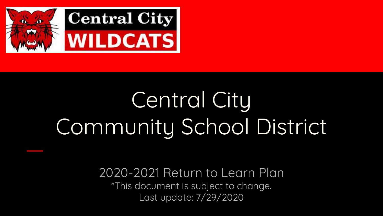

# Central City Community School District

2020-2021 Return to Learn Plan \*This document is subject to change. Last update: 7/29/2020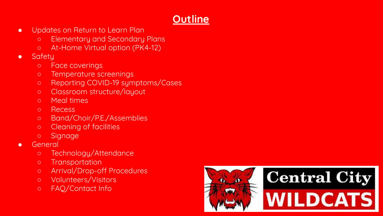# **Outline**

- Updates on Return to Learn Plan
	- Elementary and Secondary Plans
	- At-Home Virtual option (PK4-12)
- Safety
	- Face coverings
	- Temperature screenings
	- Reporting COVID-19 symptoms/Cases
	- Classroom structure/layout
	- Meal times
	- Recess
	- Band/Choir/P.E./Assemblies
	- Cleaning of facilities
	- Signage
- General
	- Technology/Attendance
	- Transportation
	- Arrival/Drop-off Procedures
	- Volunteers/Visitors
	- FAQ/Contact Info

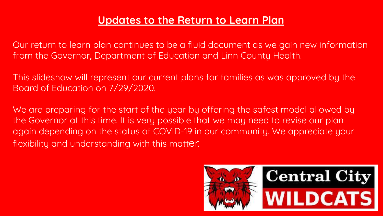#### **Updates to the Return to Learn Plan**

Our return to learn plan continues to be a fluid document as we gain new information from the Governor, Department of Education and Linn County Health.

This slideshow will represent our current plans for families as was approved by the Board of Education on 7/29/2020.

We are preparing for the start of the year by offering the safest model allowed by the Governor at this time. It is very possible that we may need to revise our plan again depending on the status of COVID-19 in our community. We appreciate your flexibility and understanding with this matter.

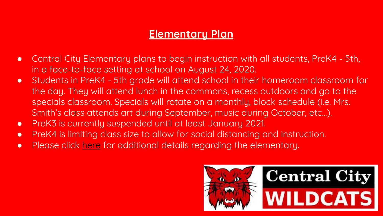## **Elementary Plan**

- Central City Elementary plans to begin instruction with all students, PreK4 5th, in a face-to-face setting at school on August 24, 2020.
- Students in PreK4 5th grade will attend school in their homeroom classroom for the day. They will attend lunch in the commons, recess outdoors and go to the specials classroom. Specials will rotate on a monthly, block schedule (i.e. Mrs. Smith's class attends art during September, music during October, etc…).
- PreK3 is currently suspended until at least January 2021.
- PreK4 is limiting class size to allow for social distancing and instruction.
- Please click [here](https://drive.google.com/file/d/1If-yyfwbyI6NZtI-gHeJS9u4zl1eibM3/view) for additional details regarding the elementary.

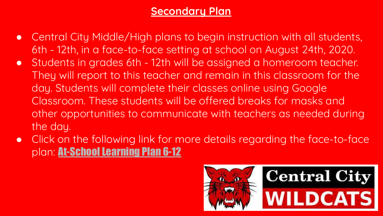# **Secondary Plan**

- Central City Middle/High plans to begin instruction with all students, 6th - 12th, in a face-to-face setting at school on August 24th, 2020.
- Students in grades 6th 12th will be assigned a homeroom teacher. They will report to this teacher and remain in this classroom for the day. Students will complete their classes online using Google Classroom. These students will be offered breaks for masks and other opportunities to communicate with teachers as needed during the day.
- Click on the following link for more details regarding the face-to-face plan: [At-School Learning Plan 6-12](https://drive.google.com/file/d/1yc_hag3yHIjvhtixxcqoUw69h0sMHzDF/view?usp=sharing)

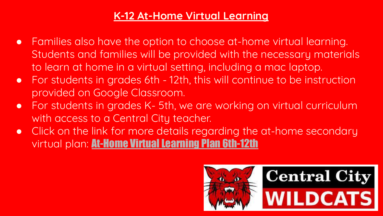## **K-12 At-Home Virtual Learning**

- Families also have the option to choose at-home virtual learning. Students and families will be provided with the necessary materials to learn at home in a virtual setting, including a mac laptop.
- For students in grades 6th 12th, this will continue to be instruction provided on Google Classroom.
- For students in grades K- 5th, we are working on virtual curriculum with access to a Central City teacher.
- Click on the link for more details regarding the at-home secondary virtual plan: [At-Home Virtual Learning Plan 6th-12th](https://drive.google.com/file/d/1F7TKvhOyqH0UewXVpagAp7j4QbMUsch2/view?usp=sharing)

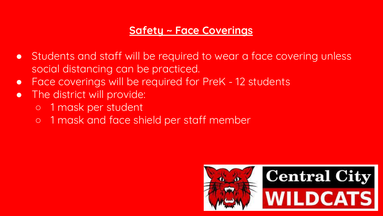### **Safety ~ Face Coverings**

- Students and staff will be required to wear a face covering unless social distancing can be practiced.
- Face coverings will be required for PreK 12 students
- The district will provide:
	- 1 mask per student
	- o 1 mask and face shield per staff member

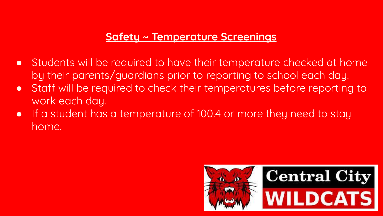#### **Safety ~ Temperature Screenings**

- Students will be required to have their temperature checked at home by their parents/guardians prior to reporting to school each day.
- Staff will be required to check their temperatures before reporting to work each day.
- If a student has a temperature of 100.4 or more they need to stay home.

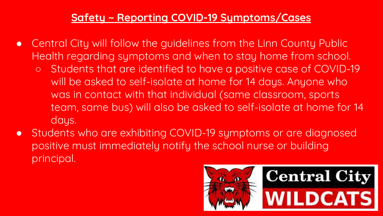### **Safety ~ Reporting COVID-19 Symptoms/Cases**

- Central City will follow the guidelines from the Linn County Public Health regarding symptoms and when to stay home from school. ○ Students that are identified to have a positive case of COVID-19 will be asked to self-isolate at home for 14 days. Anyone who
	- was in contact with that individual (same classroom, sports team, same bus) will also be asked to self-isolate at home for 14 days.
- Students who are exhibiting COVID-19 symptoms or are diagnosed positive must immediately notify the school nurse or building principal.

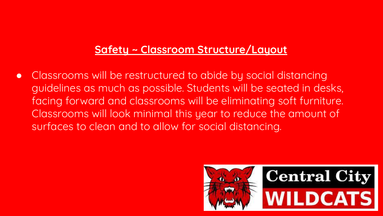## **Safety ~ Classroom Structure/Layout**

● Classrooms will be restructured to abide by social distancing guidelines as much as possible. Students will be seated in desks, facing forward and classrooms will be eliminating soft furniture. Classrooms will look minimal this year to reduce the amount of surfaces to clean and to allow for social distancing.

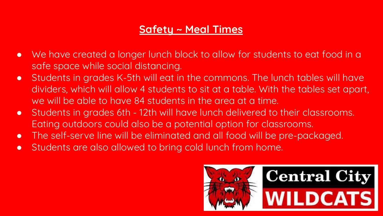## **Safety ~ Meal Times**

- We have created a longer lunch block to allow for students to eat food in a safe space while social distancing.
- Students in grades K-5th will eat in the commons. The lunch tables will have dividers, which will allow 4 students to sit at a table. With the tables set apart, we will be able to have 84 students in the area at a time.
- Students in grades 6th 12th will have lunch delivered to their classrooms. Eating outdoors could also be a potential option for classrooms.
- The self-serve line will be eliminated and all food will be pre-packaged.
- Students are also allowed to bring cold lunch from home.

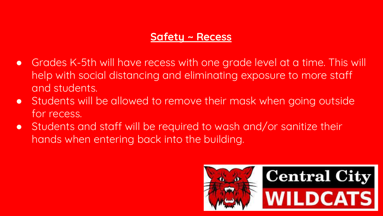#### **Safety ~ Recess**

- Grades K-5th will have recess with one grade level at a time. This will help with social distancing and eliminating exposure to more staff and students.
- Students will be allowed to remove their mask when going outside for recess.
- Students and staff will be required to wash and/or sanitize their hands when entering back into the building.

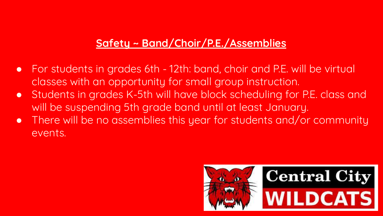# **Safety ~ Band/Choir/P.E./Assemblies**

- For students in grades 6th 12th: band, choir and P.E. will be virtual classes with an opportunity for small group instruction.
- Students in grades K-5th will have block scheduling for P.E. class and will be suspending 5th grade band until at least January.
- There will be no assemblies this year for students and/or community events.

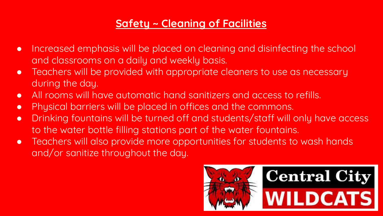# **Safety ~ Cleaning of Facilities**

- Increased emphasis will be placed on cleaning and disinfecting the school and classrooms on a daily and weekly basis.
- Teachers will be provided with appropriate cleaners to use as necessary during the day.
- All rooms will have automatic hand sanitizers and access to refills.
- Physical barriers will be placed in offices and the commons.
- Drinking fountains will be turned off and students/staff will only have access to the water bottle filling stations part of the water fountains.
- Teachers will also provide more opportunities for students to wash hands and/or sanitize throughout the day.

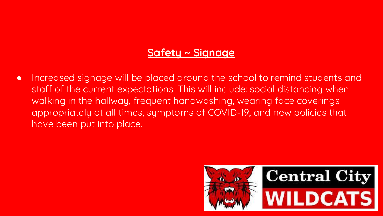#### **Safety ~ Signage**

● Increased signage will be placed around the school to remind students and staff of the current expectations. This will include: social distancing when walking in the hallway, frequent handwashing, wearing face coverings appropriately at all times, symptoms of COVID-19, and new policies that have been put into place.

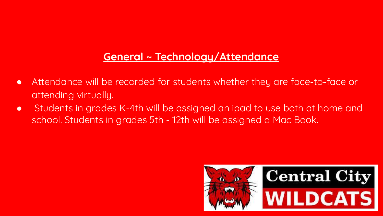## **General ~ Technology/Attendance**

- Attendance will be recorded for students whether they are face-to-face or attending virtually.
- Students in grades K-4th will be assigned an ipad to use both at home and school. Students in grades 5th - 12th will be assigned a Mac Book.

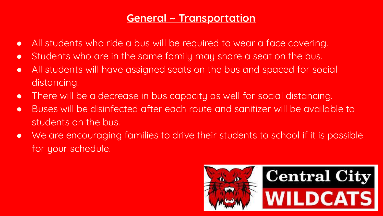#### **General ~ Transportation**

- All students who ride a bus will be required to wear a face covering.
- Students who are in the same family may share a seat on the bus.
- All students will have assigned seats on the bus and spaced for social distancing.
- There will be a decrease in bus capacity as well for social distancing.
- Buses will be disinfected after each route and sanitizer will be available to students on the bus.
- We are encouraging families to drive their students to school if it is possible for your schedule.

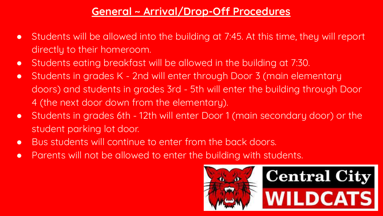## **General ~ Arrival/Drop-Off Procedures**

- Students will be allowed into the building at 7:45. At this time, they will report directly to their homeroom.
- Students eating breakfast will be allowed in the building at 7:30.
- Students in grades K 2nd will enter through Door 3 (main elementary doors) and students in grades 3rd - 5th will enter the building through Door 4 (the next door down from the elementary).
- Students in grades 6th 12th will enter Door 1 (main secondary door) or the student parking lot door.
- Bus students will continue to enter from the back doors.
- Parents will not be allowed to enter the building with students.

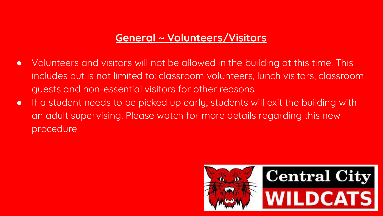#### **General ~ Volunteers/Visitors**

- Volunteers and visitors will not be allowed in the building at this time. This includes but is not limited to: classroom volunteers, lunch visitors, classroom guests and non-essential visitors for other reasons.
- If a student needs to be picked up early, students will exit the building with an adult supervising. Please watch for more details regarding this new procedure.